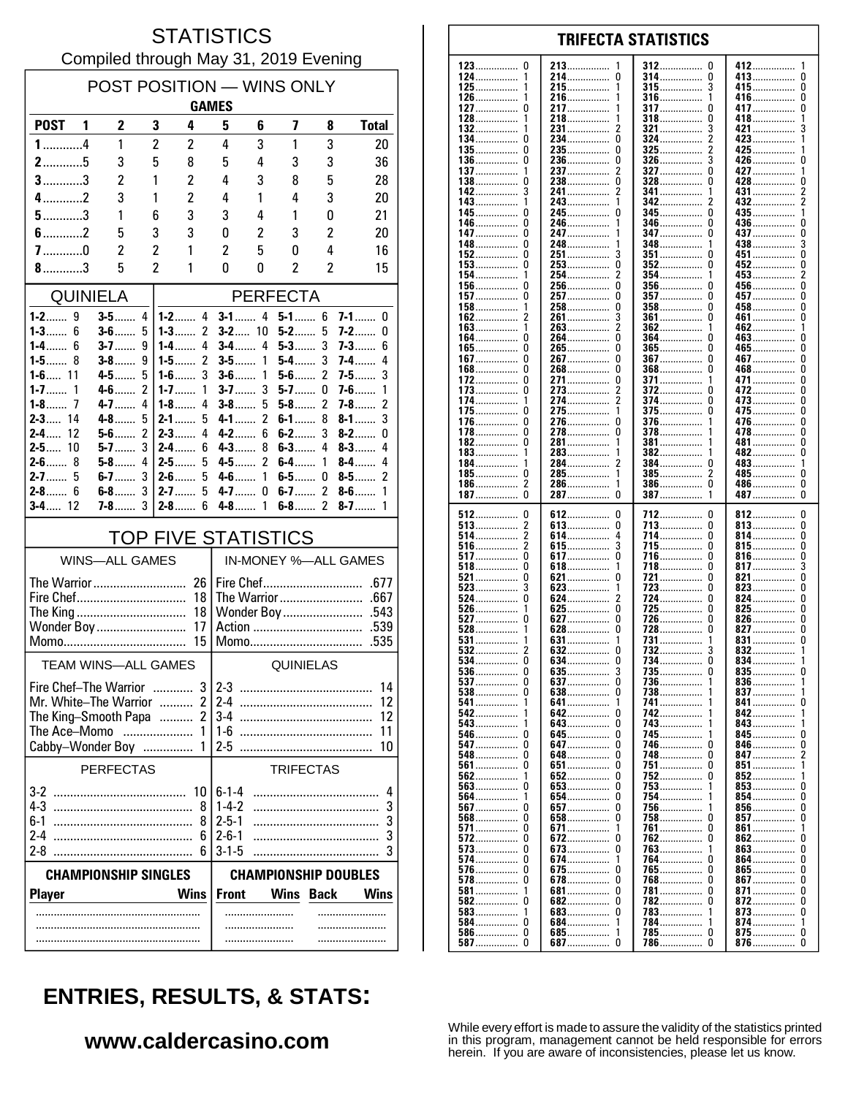#### **STATISTICS** Compiled through May 31, 2019 Evening

| POST POSITION - WINS ONLY                                  |              |                       |                                  |                            |                                                                            |                         |                      |                     |                          |  |
|------------------------------------------------------------|--------------|-----------------------|----------------------------------|----------------------------|----------------------------------------------------------------------------|-------------------------|----------------------|---------------------|--------------------------|--|
|                                                            | <b>GAMES</b> |                       |                                  |                            |                                                                            |                         |                      |                     |                          |  |
| <b>POST</b>                                                | 1            | 2                     | 3                                | 4                          | 5                                                                          | 6                       | 7                    | 8                   | <b>Total</b>             |  |
| $1$ 4                                                      |              | 1                     | $\overline{c}$                   | 2                          | 4                                                                          | 3                       | 1                    | 3                   | 20                       |  |
| $2$ 5                                                      |              | 3                     | 5                                | 8                          | 5                                                                          | 4                       | 3                    | 3                   | 36                       |  |
| $3$ 3                                                      |              | 2                     | 1                                | $\overline{c}$             | 4                                                                          | 3                       | 8                    | 5                   | 28                       |  |
| $4$ 2                                                      |              | 3                     | 1                                | 2                          | 4                                                                          | 1                       | 4                    | 3                   | 20                       |  |
| $5$ 3                                                      |              | 1                     | 6                                | 3                          | 3                                                                          | 4                       | 1                    | 0                   | 21                       |  |
| $6$ 2                                                      |              | 5                     | 3                                | 3                          | 0                                                                          | 2                       | 3                    | 2                   | 20                       |  |
| $7$ 0<br>$8$ 3                                             |              | $\overline{c}$<br>5   | $\overline{c}$<br>$\overline{2}$ | 1<br>1                     | 2<br>0                                                                     | 5<br>0                  | 0<br>$\overline{c}$  | 4<br>$\overline{2}$ | 16<br>15                 |  |
|                                                            |              |                       |                                  |                            |                                                                            |                         |                      |                     |                          |  |
|                                                            |              | <b>QUINIELA</b>       |                                  |                            |                                                                            |                         | <b>PERFECTA</b>      |                     |                          |  |
| $1 - 3$ 6                                                  |              | $3-5$<br>$3-6$        | 4<br>5                           | $1 - 2$ 4<br>$1 - 3$<br>2  |                                                                            | $3 - 1$ 4<br>$3 - 2$ 10 | $5 - 1$ 6<br>$5-2$   | 5                   | $7-1$<br>0<br>7-2<br>0   |  |
| 1-4……<br>6                                                 |              | $3-7$                 | 9                                | $1-4$<br>4                 | <b>3-4</b> ……                                                              | 4                       | $5-3$                | 3                   | 7-3……<br>6               |  |
|                                                            |              | $3-8$                 | 9                                | $\overline{2}$<br>$1 - 5$  | $3-5$                                                                      | 1                       | $5-4$                | 3                   | 4<br>7-4……               |  |
| $1 - 6$ 11                                                 | 1            | $4-5$                 | 5<br>2                           | 3<br>$1-6$                 | $3 - 6$                                                                    | 1<br>3                  | $5-6$                | $\mathfrak z$       | 3<br>$7-5$               |  |
| $1 - 7$<br>$1 - 8$ 7                                       |              | $4 - 6$<br>4-7        | 4                                | $1 - 7$<br>1<br>4<br>$1-8$ | $3-7$<br>$3-8$                                                             | 5                       | $5-7$<br>5-8……       | 0<br>2              | $7-6$<br>1<br>2<br>$7-8$ |  |
| $2 - 3$ 14                                                 |              | $4 - 8$               | 5                                | $2 - 1$<br>5               | $4 - 1$                                                                    | $\overline{2}$          | $6-1$                | 8                   | 3<br>$8-1$               |  |
| $2-4$<br>12                                                |              | $5-6$                 | $\overline{c}$                   | $2-3$<br>4                 | $4-2$                                                                      | 6                       | $6-2$                | 3                   | $8-2$<br>0               |  |
| $2 - 5$ 10<br>$2-6$                                        | 8            | $5-7$<br>$5-8$        | 3<br>4                           | $2 - 4$<br>6<br>$2-5$<br>5 | $4 - 3$<br>$4-5$                                                           | 8<br>2                  | $6-3$<br>$6-4$       | 4<br>1              | $8-3$<br>4<br>8-4<br>4   |  |
| $2 - 7$ 5                                                  |              | $6-7$                 | 3                                | $2-6$<br>5                 | 4-6……                                                                      | 1                       | 6-5……                | 0                   | 2<br>$8-5$               |  |
| $2 - 8$ 6                                                  |              | $6-8$                 | 3                                | 5<br>$2 - 7$               | $4 - 7$                                                                    | 0                       | $6-7$                | $\overline{c}$      | $8-6$<br>1               |  |
| $3 - 4$ 12                                                 |              | <b>7-8</b>            | 3                                | $2 - 8$<br>6               | $4-8$                                                                      | 1                       | $6-8$                | $\overline{c}$      | $8 - 7$<br>1             |  |
|                                                            |              |                       |                                  | <b>TOP FIVE STATISTICS</b> |                                                                            |                         |                      |                     |                          |  |
|                                                            |              | <b>WINS-ALL GAMES</b> |                                  |                            |                                                                            |                         | IN-MONEY %-ALL GAMES |                     |                          |  |
| The Warrior                                                |              |                       |                                  | 26                         |                                                                            |                         | Fire Chef            |                     | .677                     |  |
| Fire Chef                                                  |              |                       |                                  | 18                         |                                                                            |                         | The Warrior          |                     | .667                     |  |
| 18<br>The King<br>Wonder Boy<br>17                         |              |                       |                                  |                            |                                                                            | Wonder Boy              |                      | .543<br>.539        |                          |  |
| Action<br>15<br>.535<br>Momo                               |              |                       |                                  |                            |                                                                            |                         |                      |                     |                          |  |
| <b>TEAM WINS-ALL GAMES</b>                                 |              |                       |                                  |                            | QUINIELAS                                                                  |                         |                      |                     |                          |  |
| 3 <sup>1</sup><br>Fire Chef-The Warrior                    |              |                       |                                  |                            | $2 - 3$<br>14                                                              |                         |                      |                     |                          |  |
| Mr. White-The Warrior<br>$\overline{c}$                    |              |                       |                                  |                            | $2-4$<br>12                                                                |                         |                      |                     |                          |  |
| $\overline{2}$<br>The King-Smooth Papa<br>The Ace-Momo     |              |                       |                                  |                            | $3-4$<br>12                                                                |                         |                      |                     |                          |  |
|                                                            |              |                       |                                  | 1<br>1                     | $1-6$<br>25                                                                |                         |                      |                     | 11<br>10                 |  |
| Cabby-Wonder Boy<br><b>PERFECTAS</b><br><b>TRIFECTAS</b>   |              |                       |                                  |                            |                                                                            |                         |                      |                     |                          |  |
|                                                            |              |                       |                                  |                            | $6 - 1 - 4$                                                                |                         |                      |                     |                          |  |
|                                                            |              |                       |                                  | 10<br>8                    | $1 - 4 - 2$                                                                |                         |                      |                     | 4<br>3                   |  |
| $6-1$                                                      |              |                       |                                  | 8                          | $2 - 5 - 1$                                                                |                         |                      |                     | 3                        |  |
| $2-4$                                                      |              |                       |                                  | 6                          | $2 - 6 - 1$                                                                |                         |                      |                     | 3                        |  |
| $3 - 1 - 5$<br>$2 - 8$<br>3<br><b>CHAMPIONSHIP SINGLES</b> |              |                       |                                  |                            |                                                                            |                         |                      |                     |                          |  |
| <b>Player</b>                                              |              |                       |                                  | <b>Wins</b>                | <b>CHAMPIONSHIP DOUBLES</b><br><b>Front</b><br>Wins<br>Wins<br><b>Back</b> |                         |                      |                     |                          |  |
|                                                            |              |                       |                                  |                            |                                                                            |                         |                      |                     |                          |  |
|                                                            |              |                       |                                  |                            |                                                                            | .                       |                      |                     |                          |  |
|                                                            |              |                       |                                  |                            |                                                                            |                         |                      |                     |                          |  |

|                   | 213               |                  |               |
|-------------------|-------------------|------------------|---------------|
| 123<br>0          | 1                 | $312$<br>0       | 412……………<br>1 |
| 124               | 214<br>0          | 314<br>0         | 413<br>0      |
| $125$             | 215               | 3<br>$315$       | 415<br>0      |
|                   |                   |                  |               |
| 126<br>1          | 216<br>1          | 316<br>1         | 416……………<br>0 |
| 127……………  0       | 217……………<br>1     | <b>317</b><br>0  | 417<br>0      |
|                   |                   |                  |               |
| 128<br>1          | 218……………<br>1     | 318<br>0         | 418<br>1      |
| 132               | 2<br>231……………     | 3<br>321         | 421<br>3      |
|                   |                   |                  |               |
| 134<br>0          | 234……………<br>0     | 324<br>2         | 423<br>1      |
| 135……………<br>0     | 235……………<br>0     | <b>325</b><br>2  | 425……………<br>1 |
|                   |                   |                  |               |
| 136<br>0          | 236<br>0          | 326              | 426<br>U      |
| $137$             | 237               | 327<br>0         | 427<br>1      |
|                   |                   |                  |               |
| 138……………<br>0     | 238……………<br>0     | 328<br>0         | 428……………<br>0 |
| 142……………<br>3     | 241<br>2          | 341<br>1         | 431<br>2      |
|                   |                   |                  |               |
| 143               | 243               | 342              | 432<br>2      |
| 145……………<br>0     | 245……………<br>0     | $345$<br>0       | 435<br>1      |
|                   |                   |                  |               |
| 146……………<br>0     | 246……………          | 346<br>0         | 436<br>0      |
|                   |                   |                  |               |
| 147……………<br>0     | 247<br>1          | <b>347</b><br>0  | 437<br>0      |
| 148……………          | 248……………          | 348              | 438<br>3      |
|                   |                   |                  |               |
| 152<br>0          | 251……………<br>3     | $351$<br>0       | 451<br>0      |
| 153<br>0          | 253<br>0          | <b>352</b><br>0  | 452<br>0      |
|                   |                   |                  |               |
| 154……………<br>1     | 254……………          | 354……………<br>1    | 453<br>2      |
| 156<br>0          | 256……………          | 356<br>0         | 456<br>0      |
| 157.<br>0         | 0                 | 0                |               |
|                   | 257               | <b>357</b>       | 457<br>0      |
| $158$<br>1        | 258<br>0          | $358$<br>0       | 458<br>0      |
| 162               |                   | <b>361 </b><br>0 | 461<br>0      |
|                   | 261               |                  |               |
| $163$             | 263……………          | 362              | 462<br>1      |
| 0                 | 0                 | 0                |               |
| 164               | 264               | 364              | 463<br>0      |
| 165……………… 0       | 265<br>0          | 365<br>0         | 465<br>0      |
| 167.<br>0         | 267……………<br>0     | <b>367</b><br>0  | 467<br>0      |
|                   |                   |                  |               |
| 168<br>0          | 268               | $368$<br>0       | 468<br>0      |
| 172<br>0          | 271<br>0          | 371<br>1         | 471<br>0      |
|                   |                   |                  |               |
| 173<br>0          | 273<br>2          | 372<br>0         | 472<br>0      |
| 174<br>1          | 274……………          | 374<br>0         | 473<br>0      |
|                   |                   |                  |               |
| 175……………<br>0     | 275<br>1          | 375<br>0         | 475<br>0      |
| 176<br>0          | 276……………<br>0     | 376              | 476<br>0      |
|                   |                   |                  |               |
| 178……………<br>0     | 278……………<br>0     | 378……………<br>1    | 478<br>0      |
| 182<br>0          | 281……………<br>1     | 381<br>1         | 481<br>0      |
|                   |                   |                  |               |
| $183$             | 283               | 382<br>1         | 482……………<br>0 |
| 184……………<br>1     | 2<br>284……………     | 384……………<br>0    | 483<br>1      |
|                   |                   |                  |               |
| 185……………<br>0     | 285……………<br>1     | 385<br>2         | 485<br>0      |
| 2<br>186          | 286……………<br>1     | 386<br>0         | 486<br>0      |
| 0                 | 0                 | 1                |               |
| 187……………          | 287               | 387              | 487<br>0      |
|                   |                   |                  |               |
|                   |                   |                  |               |
|                   |                   |                  |               |
| 512<br>0          | 612<br>0          | 712<br>0         | 812……………<br>0 |
| $513$             | 613<br>0          | 713<br>0         | 813<br>0      |
|                   |                   | 0                | 0             |
| 514               | 614……………          | 714              | 814           |
| $516$<br>2        | 3<br><b>615</b>   | 715<br>0         | 815<br>0      |
|                   |                   |                  |               |
|                   | <b>617</b><br>0   | 716<br>0         | 816<br>0      |
| 518<br>0          | 618<br>1          | 718<br>0         | 817<br>3      |
| 0                 | 0                 | 721<br>0         | 821<br>0      |
| 521               | 621               |                  |               |
| $523$<br>3        | 623<br>1          | 723<br>0         | 823<br>0      |
| 524 0             | 2<br>624          | 724<br>0         | 824<br>0      |
|                   |                   |                  |               |
| $526$             | $625$<br>0        | 725              | 825<br>0      |
| 527<br>0          | <b>627</b><br>0   | 726<br>0         | 826<br>0      |
| 1                 | 0                 | 0                | 827……………<br>0 |
| $528$             | 628……………          | 728              |               |
| $531$             | 631<br>1          | 731<br>1         | 831<br>0      |
| 532               |                   | 732              | 1             |
|                   | 632               |                  | 832           |
| 534<br>0          | 634<br>0          | 734……………<br>0    | $834$<br>1    |
| 536<br>0          | 635               | 735<br>0         | 835<br>0      |
|                   |                   |                  |               |
|                   |                   | 736<br>1         | 836<br>-1     |
| $538 \ldots$<br>0 | $638 \ldots$<br>0 | 738              | $837$<br>1    |
| 541               | 641               | 741              | 841……………<br>U |
|                   |                   |                  |               |
| 542               | 642<br>0          | 742              | 842           |
| 1                 | 0                 | 1                | 1             |
| 543               | 643               | 743              | 843           |
|                   | 645               | 745              | 845<br>U      |
|                   | 0                 | 746<br>0         | 846……………<br>U |
|                   | <b>647</b>        |                  |               |
|                   | 648<br>0          | 748<br>0         | 847<br>2      |
|                   | 651<br>0          | 751<br>U         | 851……………<br>1 |
|                   |                   |                  |               |
| 562               | 652<br>0          | 752<br>0         | 852<br>1      |
| $563 \ldots$<br>0 | <b>653</b><br>0   | 753              | 853<br>0      |
|                   |                   |                  |               |
|                   | 654.<br>0         | 754              | 854<br>U      |
| <b>567</b> 0      | 657<br>0          | 756<br>1         | 856<br>U      |
|                   |                   |                  |               |
|                   | $658$<br>0        | 758<br>0         | 857<br>U      |
| <b>571</b> 0      | 671<br>1          | <b>761 </b><br>0 | 861<br>1      |
|                   |                   |                  |               |
| 572 0             | <b>672</b><br>0   | 762 0            | 862<br>U      |
|                   | 673<br>0          | 763<br>1         | 863<br>0      |
|                   | 1                 |                  |               |
| <b>574</b> 0      | 674               | 764<br>0         | 864<br>U      |
| <b>576</b> 0      | <b>675</b><br>0   | 765<br>0         | 865<br>0      |
|                   |                   |                  |               |
| <b>578</b> 0      | 678<br>0          | 768……………… 0      | 867……………<br>U |
|                   | <b>681</b><br>0   | 781……………… 0      | 871<br>U      |
|                   | 0                 | 0                | U             |
|                   | 682               | 782              | 872           |
|                   | 683<br>0          | 783              | 873<br>0      |
|                   | 684……………<br>1     | 784……………<br>1    | 874<br>1      |
| 584 0             |                   |                  |               |
|                   | $685 \ldots$<br>1 | 785<br>U         | 875…………… 0    |
|                   | 687<br>0          | 786……………<br>0    |               |

**TRIFECTA STATISTICS** 

# **ENTRIES, RESULTS, & STATS:**

### www.caldercasino.com